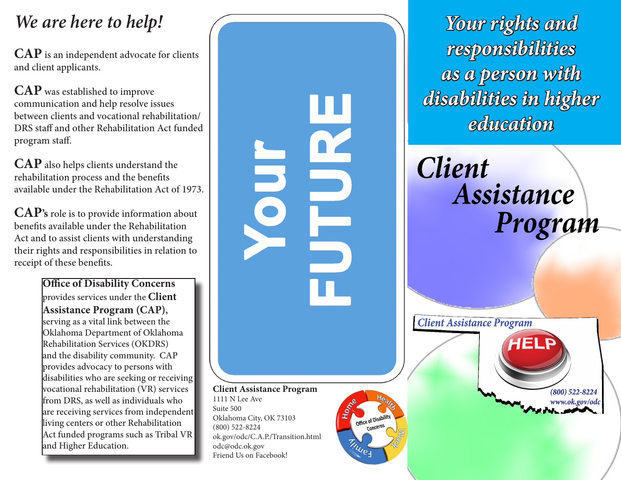## *We are here to help!*

**CAP** is an independent advocate for clients and client applicants.

**CAP** was established to improve communication and help resolve issues between clients and vocational rehabilitation/ DRS staff and other Rehabilitation Act funded program staff.

**CAP** also helps clients understand the rehabilitation process and the benefits available under the Rehabilitation Act of 1973.

**CAP's** role is to provide information about benefits available under the Rehabilitation Act and to assist clients with understanding their rights and responsibilities in relation to receipt of these benefits.

> **Office of Disability Concerns**  provides services under the **Client Assistance Program (CAP),** serving as a vital link between the Oklahoma Department of Oklahoma Rehabilitation Services (OKDRS) and the disability community. CAP provides advocacy to persons with disabilities who are seeking or receiving vocational rehabilitation (VR) services from DRS, as well as individuals who are receiving services from independent living centers or other Rehabilitation Act funded programs such as Tribal VR and Higher Education.



*Your rights and responsibilities as a person with disabilities in higher education*

**Client** Assistance Program

**Client Assistance Program**  $(800)$  522-8224 www.ok.gov/odc